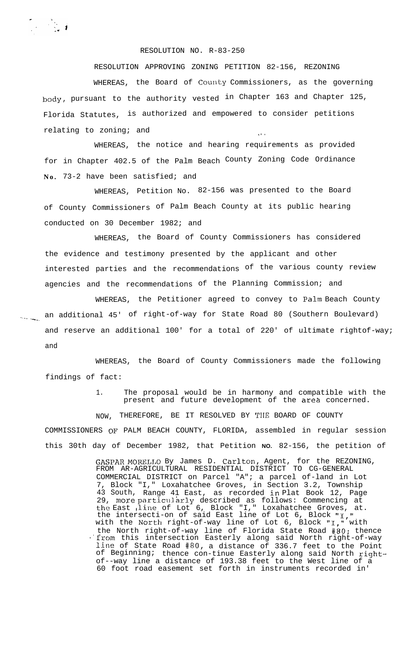## RESOLUTION NO. R-83-250

RESOLUTION APPROVING ZONING PETITION 82-156, REZONING WHEREAS, the Board of County Commissioners, as the governing body, pursuant to the authority vested in Chapter 163 and Chapter 125, Florida Statutes, is authorized and empowered to consider petitions  $relating to zoning; and$ 

WHEREAS, the notice and hearing requirements as provided for in Chapter 402.5 of the Palm Beach County Zoning Code Ordinance **No.** 73-2 have been satisfied; and

WHEREAS, Petition No. 82-156 was presented to the Board of County Commissioners of Palm Beach County at its public hearing conducted on 30 December 1982; and

WHEREAS, the Board of County Commissioners has considered the evidence and testimony presented by the applicant and other interested parties and the recommendations of the various county review agencies and the recommendations of the Planning Commission; and

WHEREAS, the Petitioner agreed to convey to Palm Beach County an additional 45' of right-of-way for State Road 80 (Southern Boulevard) and reserve an additional 100' for a total of 220' of ultimate rightof-way; and

WHEREAS, the Board of County Commissioners made the following findings of fact:

> 1. The proposal would be in harmony and compatible with the present and future development of the area concerned.

NOW, THEREFORE, BE IT RESOLVED BY TIIE BOARD OF COUNTY COMMISSIONERS OF PALM BEACH COUNTY, FLORIDA, assembled in regular session this 30th day of December 1982, that Petition **NO.** 82-156, the petition of

> GASPAR MQKELLO By James D. Carlton, Agent, for the REZONING, FROM AR-AGRICULTURAL RESIDENTIAL DISTRICT TO CG-GENERAL COMMERCIAL DISTRICT on Parcel "A"; a parcel of-land in Lot 7, Block "I," Loxahatchee Groves, in Section 3.2, Township 43 South, Range 41 East, as recorded in Plat Book 12, Page 29, more particularly described as follows: Commencing at the East ,line of Lot 6, Block "I," Loxahatchee Groves, at. the intersecti-on of said East line of Lot 6, Block " $I,$ " with the Ncrth right-of-way line of Lot 6, Block "I," with the North right-of-way line of Florida State Road #80; thence .'from this intersection Easterly along said North right-of-way line of State Road  $#80$ , a distance of 336.7 feet to the Point of Beginning; thence con-tinue Easterly along said North rightof--way line a distance of 193.38 feet to the West line of a 60 foot road easement set forth in instruments recorded in'